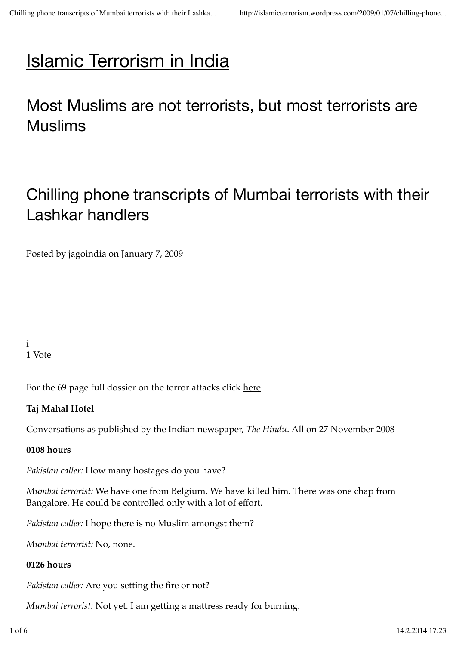# Islamic Terrorism in India

# Most Muslims are not terrorists, but most terrorists are Muslims

# Chilling phone transcripts of Mumbai terrorists with their Lashkar handlers

Posted by jagoindia on January 7, 2009

i 1 Vote

For the 69 page full dossier on the terror attacks click here

### **Taj Mahal Hotel**

Conversations as published by the Indian newspaper, *The Hindu*. All on 27 November 2008

#### **0108 hours**

*Pakistan caller:* How many hostages do you have?

*Mumbai terrorist:* We have one from Belgium. We have killed him. There was one chap from Bangalore. He could be controlled only with a lot of effort.

*Pakistan caller:* I hope there is no Muslim amongst them?

*Mumbai terrorist:* No, none.

### **0126 hours**

*Pakistan caller:* Are you setting the fire or not?

*Mumbai terrorist:* Not yet. I am getting a mattress ready for burning.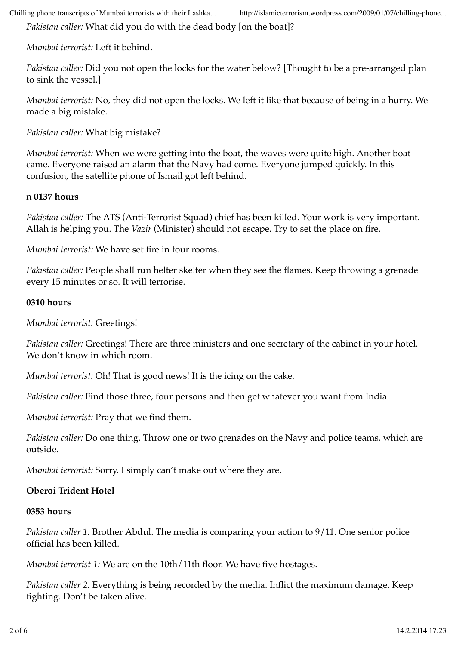*Pakistan caller:* What did you do with the dead body [on the boat]?

*Mumbai terrorist:* Left it behind.

*Pakistan caller:* Did you not open the locks for the water below? [Thought to be a pre-arranged plan to sink the vessel.]

*Mumbai terrorist:* No, they did not open the locks. We left it like that because of being in a hurry. We made a big mistake.

*Pakistan caller:* What big mistake?

*Mumbai terrorist:* When we were getting into the boat, the waves were quite high. Another boat came. Everyone raised an alarm that the Navy had come. Everyone jumped quickly. In this confusion, the satellite phone of Ismail got left behind.

#### n **0137 hours**

*Pakistan caller:* The ATS (Anti-Terrorist Squad) chief has been killed. Your work is very important. Allah is helping you. The *Vazir* (Minister) should not escape. Try to set the place on fire.

*Mumbai terrorist:* We have set fire in four rooms.

*Pakistan caller:* People shall run helter skelter when they see the flames. Keep throwing a grenade every 15 minutes or so. It will terrorise.

#### **0310 hours**

*Mumbai terrorist:* Greetings!

*Pakistan caller:* Greetings! There are three ministers and one secretary of the cabinet in your hotel. We don't know in which room.

*Mumbai terrorist:* Oh! That is good news! It is the icing on the cake.

*Pakistan caller:* Find those three, four persons and then get whatever you want from India.

*Mumbai terrorist:* Pray that we find them.

*Pakistan caller:* Do one thing. Throw one or two grenades on the Navy and police teams, which are outside.

*Mumbai terrorist:* Sorry. I simply can't make out where they are.

#### **Oberoi Trident Hotel**

#### **0353 hours**

*Pakistan caller 1:* Brother Abdul. The media is comparing your action to 9/11. One senior police official has been killed.

*Mumbai terrorist 1:* We are on the 10th/11th floor. We have five hostages.

*Pakistan caller 2:* Everything is being recorded by the media. Inflict the maximum damage. Keep fighting. Don't be taken alive.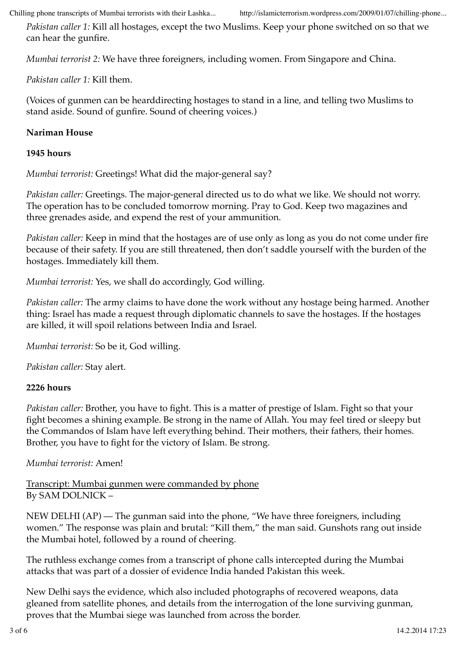*Pakistan caller 1:* Kill all hostages, except the two Muslims. Keep your phone switched on so that we can hear the gunfire.

*Mumbai terrorist 2:* We have three foreigners, including women. From Singapore and China.

*Pakistan caller 1:* Kill them.

(Voices of gunmen can be hearddirecting hostages to stand in a line, and telling two Muslims to stand aside. Sound of gunfire. Sound of cheering voices.)

#### **Nariman House**

#### **1945 hours**

*Mumbai terrorist:* Greetings! What did the major-general say?

*Pakistan caller:* Greetings. The major-general directed us to do what we like. We should not worry. The operation has to be concluded tomorrow morning. Pray to God. Keep two magazines and three grenades aside, and expend the rest of your ammunition.

*Pakistan caller:* Keep in mind that the hostages are of use only as long as you do not come under fire because of their safety. If you are still threatened, then don't saddle yourself with the burden of the hostages. Immediately kill them.

*Mumbai terrorist:* Yes, we shall do accordingly, God willing.

*Pakistan caller:* The army claims to have done the work without any hostage being harmed. Another thing: Israel has made a request through diplomatic channels to save the hostages. If the hostages are killed, it will spoil relations between India and Israel.

*Mumbai terrorist:* So be it, God willing.

*Pakistan caller:* Stay alert.

#### **2226 hours**

*Pakistan caller:* Brother, you have to fight. This is a matter of prestige of Islam. Fight so that your fight becomes a shining example. Be strong in the name of Allah. You may feel tired or sleepy but the Commandos of Islam have left everything behind. Their mothers, their fathers, their homes. Brother, you have to fight for the victory of Islam. Be strong.

#### *Mumbai terrorist:* Amen!

Transcript: Mumbai gunmen were commanded by phone By SAM DOLNICK –

NEW DELHI (AP) — The gunman said into the phone, "We have three foreigners, including women." The response was plain and brutal: "Kill them," the man said. Gunshots rang out inside the Mumbai hotel, followed by a round of cheering.

The ruthless exchange comes from a transcript of phone calls intercepted during the Mumbai attacks that was part of a dossier of evidence India handed Pakistan this week.

New Delhi says the evidence, which also included photographs of recovered weapons, data gleaned from satellite phones, and details from the interrogation of the lone surviving gunman, proves that the Mumbai siege was launched from across the border.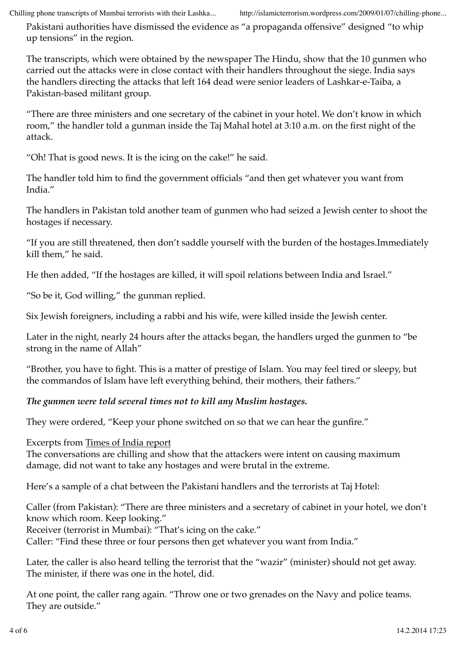Pakistani authorities have dismissed the evidence as "a propaganda offensive" designed "to whip up tensions" in the region.

The transcripts, which were obtained by the newspaper The Hindu, show that the 10 gunmen who carried out the attacks were in close contact with their handlers throughout the siege. India says the handlers directing the attacks that left 164 dead were senior leaders of Lashkar-e-Taiba, a Pakistan-based militant group.

"There are three ministers and one secretary of the cabinet in your hotel. We don't know in which room," the handler told a gunman inside the Taj Mahal hotel at 3:10 a.m. on the first night of the attack.

"Oh! That is good news. It is the icing on the cake!" he said.

The handler told him to find the government officials "and then get whatever you want from India."

The handlers in Pakistan told another team of gunmen who had seized a Jewish center to shoot the hostages if necessary.

"If you are still threatened, then don't saddle yourself with the burden of the hostages. Immediately kill them," he said.

He then added, "If the hostages are killed, it will spoil relations between India and Israel."

"So be it, God willing," the gunman replied.

Six Jewish foreigners, including a rabbi and his wife, were killed inside the Jewish center.

Later in the night, nearly 24 hours after the attacks began, the handlers urged the gunmen to "be strong in the name of Allah"

"Brother, you have to fight. This is a matter of prestige of Islam. You may feel tired or sleepy, but the commandos of Islam have left everything behind, their mothers, their fathers."

*The gunmen were told several times not to kill any Muslim hostages.*

They were ordered, "Keep your phone switched on so that we can hear the gunfire."

Excerpts from Times of India report

The conversations are chilling and show that the attackers were intent on causing maximum damage, did not want to take any hostages and were brutal in the extreme.

Here's a sample of a chat between the Pakistani handlers and the terrorists at Taj Hotel:

Caller (from Pakistan): "There are three ministers and a secretary of cabinet in your hotel, we don't know which room. Keep looking."

Receiver (terrorist in Mumbai): "That's icing on the cake."

Caller: "Find these three or four persons then get whatever you want from India."

Later, the caller is also heard telling the terrorist that the "wazir" (minister) should not get away. The minister, if there was one in the hotel, did.

At one point, the caller rang again. "Throw one or two grenades on the Navy and police teams. They are outside."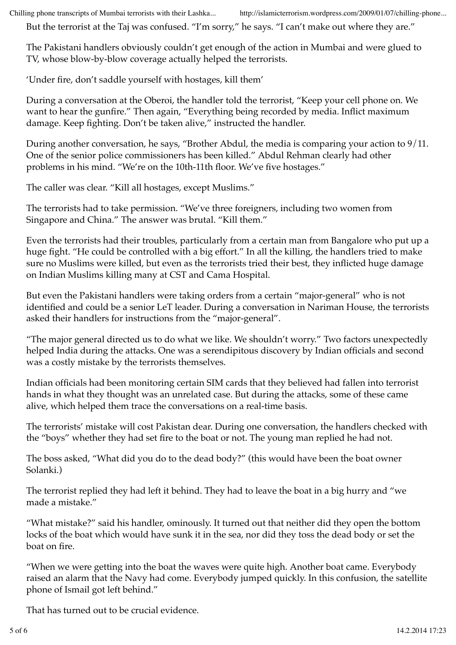But the terrorist at the Taj was confused. "I'm sorry," he says. "I can't make out where they are."

The Pakistani handlers obviously couldn't get enough of the action in Mumbai and were glued to TV, whose blow-by-blow coverage actually helped the terrorists.

'Under fire, don't saddle yourself with hostages, kill them'

During a conversation at the Oberoi, the handler told the terrorist, "Keep your cell phone on. We want to hear the gunfire." Then again, "Everything being recorded by media. Inflict maximum damage. Keep fighting. Don't be taken alive," instructed the handler.

During another conversation, he says, "Brother Abdul, the media is comparing your action to 9/11. One of the senior police commissioners has been killed." Abdul Rehman clearly had other problems in his mind. "We're on the 10th-11th floor. We've five hostages."

The caller was clear. "Kill all hostages, except Muslims."

The terrorists had to take permission. "We've three foreigners, including two women from Singapore and China." The answer was brutal. "Kill them."

Even the terrorists had their troubles, particularly from a certain man from Bangalore who put up a huge fight. "He could be controlled with a big effort." In all the killing, the handlers tried to make sure no Muslims were killed, but even as the terrorists tried their best, they inflicted huge damage on Indian Muslims killing many at CST and Cama Hospital.

But even the Pakistani handlers were taking orders from a certain "major-general" who is not identified and could be a senior LeT leader. During a conversation in Nariman House, the terrorists asked their handlers for instructions from the "major-general".

"The major general directed us to do what we like. We shouldn't worry." Two factors unexpectedly helped India during the attacks. One was a serendipitous discovery by Indian officials and second was a costly mistake by the terrorists themselves.

Indian officials had been monitoring certain SIM cards that they believed had fallen into terrorist hands in what they thought was an unrelated case. But during the attacks, some of these came alive, which helped them trace the conversations on a real-time basis.

The terrorists' mistake will cost Pakistan dear. During one conversation, the handlers checked with the "boys" whether they had set fire to the boat or not. The young man replied he had not.

The boss asked, "What did you do to the dead body?" (this would have been the boat owner Solanki.)

The terrorist replied they had left it behind. They had to leave the boat in a big hurry and "we made a mistake."

"What mistake?" said his handler, ominously. It turned out that neither did they open the bottom locks of the boat which would have sunk it in the sea, nor did they toss the dead body or set the boat on fire.

"When we were getting into the boat the waves were quite high. Another boat came. Everybody raised an alarm that the Navy had come. Everybody jumped quickly. In this confusion, the satellite phone of Ismail got left behind."

That has turned out to be crucial evidence.